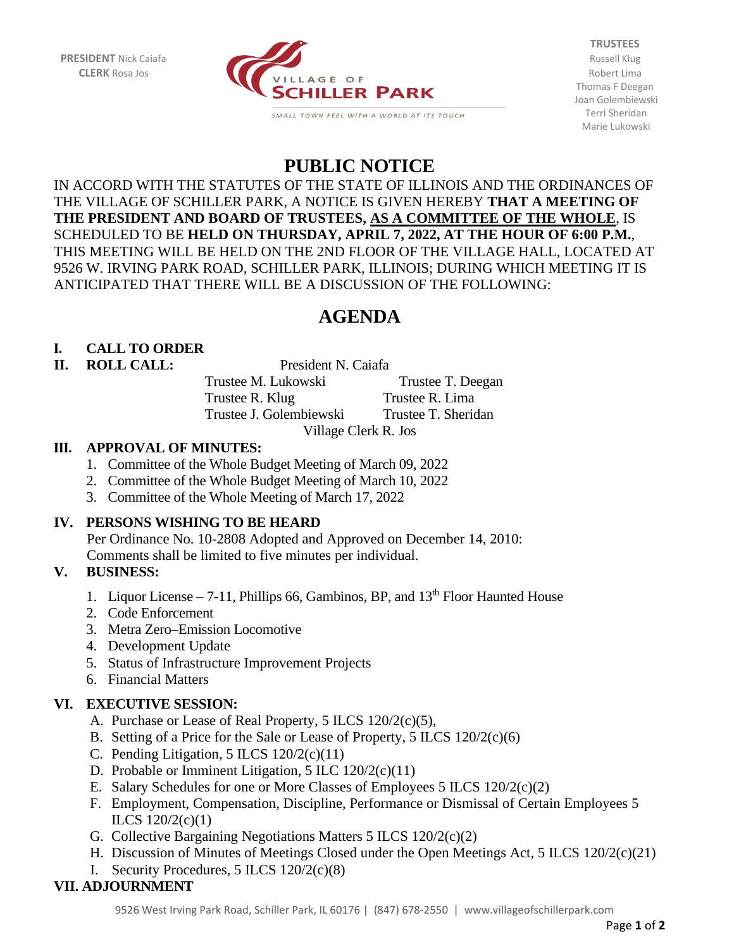

**TRUSTEES** Thomas F Deegan Joan Golembiewski Terri Sheridan Marie Lukowski

## **PUBLIC NOTICE**

IN ACCORD WITH THE STATUTES OF THE STATE OF ILLINOIS AND THE ORDINANCES OF THE VILLAGE OF SCHILLER PARK, A NOTICE IS GIVEN HEREBY **THAT A MEETING OF THE PRESIDENT AND BOARD OF TRUSTEES, AS A COMMITTEE OF THE WHOLE**, IS SCHEDULED TO BE **HELD ON THURSDAY, APRIL 7, 2022, AT THE HOUR OF 6:00 P.M.**, THIS MEETING WILL BE HELD ON THE 2ND FLOOR OF THE VILLAGE HALL, LOCATED AT 9526 W. IRVING PARK ROAD, SCHILLER PARK, ILLINOIS; DURING WHICH MEETING IT IS ANTICIPATED THAT THERE WILL BE A DISCUSSION OF THE FOLLOWING:

# **AGENDA**

### **I. CALL TO ORDER**

#### **II. ROLL CALL:** President N. Caiafa

Trustee M. Lukowski Trustee T. Deegan Trustee R. Klug Trustee R. Lima Trustee J. Golembiewski Trustee T. Sheridan Village Clerk R. Jos

#### **III. APPROVAL OF MINUTES:**

- 1. Committee of the Whole Budget Meeting of March 09, 2022
- 2. Committee of the Whole Budget Meeting of March 10, 2022
- 3. Committee of the Whole Meeting of March 17, 2022

#### **IV. PERSONS WISHING TO BE HEARD**

Per Ordinance No. 10-2808 Adopted and Approved on December 14, 2010: Comments shall be limited to five minutes per individual.

#### **V. BUSINESS:**

- 1. Liquor License 7-11, Phillips 66, Gambinos, BP, and  $13<sup>th</sup>$  Floor Haunted House
- 2. Code Enforcement
- 3. Metra Zero–Emission Locomotive
- 4. Development Update
- 5. Status of Infrastructure Improvement Projects
- 6. Financial Matters

#### **VI. EXECUTIVE SESSION:**

- A. Purchase or Lease of Real Property, 5 ILCS 120/2(c)(5),
- B. Setting of a Price for the Sale or Lease of Property, 5 ILCS 120/2(c)(6)
- C. Pending Litigation, 5 ILCS 120/2(c)(11)
- D. Probable or Imminent Litigation, 5 ILC 120/2(c)(11)
- E. Salary Schedules for one or More Classes of Employees 5 ILCS 120/2(c)(2)
- F. Employment, Compensation, Discipline, Performance or Dismissal of Certain Employees 5 ILCS 120/2(c)(1)
- G. Collective Bargaining Negotiations Matters 5 ILCS 120/2(c)(2)
- H. Discussion of Minutes of Meetings Closed under the Open Meetings Act, 5 ILCS 120/2(c)(21)
- I. Security Procedures, 5 ILCS 120/2(c)(8)

#### **VII. ADJOURNMENT**

9526 West Irving Park Road, Schiller Park, IL 60176 | (847) 678-2550 | [www.villageofschillerpark.com](http://www.villageofschillerpark.com/)